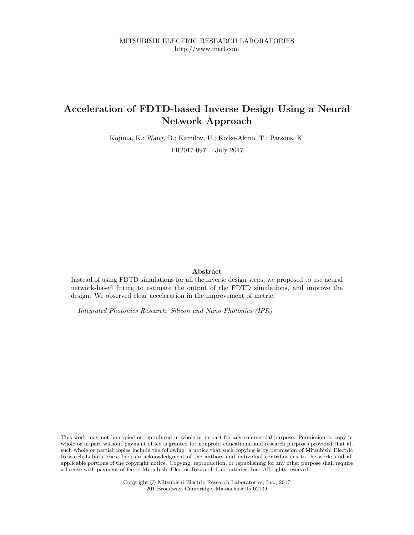## Acceleration of FDTD-based Inverse Design Using a Neural Network Approach

Kojima, K.; Wang, B.; Kamilov, U.; Koike-Akino, T.; Parsons, K.

TR2017-097 July 2017

#### Abstract

Instead of using FDTD simulations for all the inverse design steps, we proposed to use neural network-based fitting to estimate the output of the FDTD simulations, and improve the design. We observed clear acceleration in the improvement of metric.

Integrated Photonics Research, Silicon and Nano Photonics (IPR)

This work may not be copied or reproduced in whole or in part for any commercial purpose. Permission to copy in whole or in part without payment of fee is granted for nonprofit educational and research purposes provided that all such whole or partial copies include the following: a notice that such copying is by permission of Mitsubishi Electric Research Laboratories, Inc.; an acknowledgment of the authors and individual contributions to the work; and all applicable portions of the copyright notice. Copying, reproduction, or republishing for any other purpose shall require a license with payment of fee to Mitsubishi Electric Research Laboratories, Inc. All rights reserved.

> Copyright © Mitsubishi Electric Research Laboratories, Inc., 2017 201 Broadway, Cambridge, Massachusetts 02139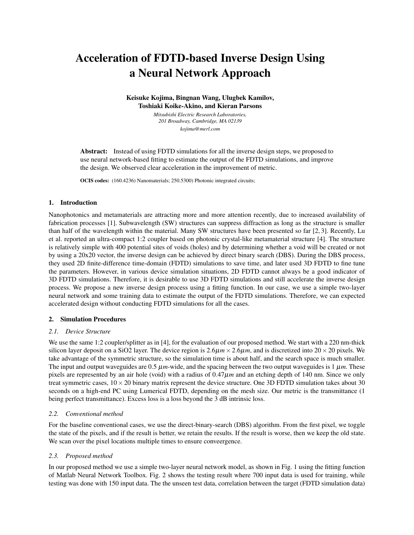# Acceleration of FDTD-based Inverse Design Using a Neural Network Approach

Keisuke Kojima, Bingnan Wang, Ulugbek Kamilov, Toshiaki Koike-Akino, and Kieran Parsons

> *Mitsubishi Electric Research Laboratories, 201 Broadway, Cambridge, MA 02139 kojima@merl.com*

Abstract: Instead of using FDTD simulations for all the inverse design steps, we proposed to use neural network-based fitting to estimate the output of the FDTD simulations, and improve the design. We observed clear acceleration in the improvement of metric.

OCIS codes: (160.4236) Nanomaterials; 250.5300) Photonic integrated circuits;

#### 1. Introduction

Nanophotonics and metamaterials are attracting more and more attention recently, due to increased availability of fabrication processes [1]. Subwavelength (SW) structures can suppress diffraction as long as the structure is smaller than half of the wavelength within the material. Many SW structures have been presented so far [2, 3]. Recently, Lu et al. reported an ultra-compact 1:2 coupler based on photonic crystal-like metamaterial structure [4]. The structure is relatively simple with 400 potential sites of voids (holes) and by determining whether a void will be created or not by using a 20x20 vector, the inverse design can be achieved by direct binary search (DBS). During the DBS process, they used 2D finite-difference time-domain (FDTD) simulations to save time, and later used 3D FDTD to fine tune the parameters. However, in various device simulation situations, 2D FDTD cannot always be a good indicator of 3D FDTD simulations. Therefore, it is desirable to use 3D FDTD simulations and still accelerate the inverse design process. We propose a new inverse design process using a fitting function. In our case, we use a simple two-layer neural network and some training data to estimate the output of the FDTD simulations. Therefore, we can expected accelerated design without conducting FDTD simulations for all the cases.

#### 2. Simulation Procedures

#### *2.1. Device Structure*

We use the same 1:2 coupler/splitter as in [4], for the evaluation of our proposed method. We start with a 220 nm-thick silicon layer deposit on a SiO2 layer. The device region is  $2.6\mu m \times 2.6\mu m$ , and is discretized into  $20 \times 20$  pixels. We take advantage of the symmetric structure, so the simulation time is about half, and the search space is much smaller. The input and output waveguides are  $0.5 \mu m$ -wide, and the spacing between the two output waveguides is  $1 \mu m$ . These pixels are represented by an air hole (void) with a radius of  $0.47\mu m$  and an etching depth of 140 nm. Since we only treat symmetric cases,  $10 \times 20$  binary matrix represent the device structure. One 3D FDTD simulation takes about 30 seconds on a high-end PC using Lumerical FDTD, depending on the mesh size. Our metric is the transmittance (1 being perfect transmittance). Excess loss is a loss beyond the 3 dB intrinsic loss.

#### *2.2. Conventional method*

For the baseline conventional cases, we use the direct-binary-search (DBS) algorithm. From the first pixel, we toggle the state of the pixels, and if the result is better, we retain the results. If the result is worse, then we keep the old state. We scan over the pixel locations multiple times to ensure conveergence.

#### *2.3. Proposed method*

In our proposed method we use a simple two-layer neural network model, as shown in Fig. 1 using the fitting function of Matlab Neural Network Toolbox. Fig. 2 shows the testing result where 700 input data is used for training, while testing was done with 150 input data. The the unseen test data, correlation between the target (FDTD simulation data)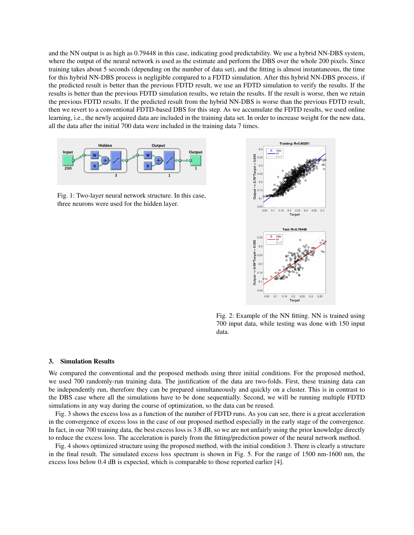and the NN output is as high as 0.79448 in this case, indicating good predictability. We use a hybrid NN-DBS system, where the output of the neural network is used as the estimate and perform the DBS over the whole 200 pixels. Since training takes about 5 seconds (depending on the number of data set), and the fitting is almost instantaneous, the time for this hybrid NN-DBS process is negligible compared to a FDTD simulation. After this hybrid NN-DBS process, if the predicted result is better than the previous FDTD result, we use an FDTD simulation to verify the results. If the results is better than the previous FDTD simulation results, we retain the results. If the result is worse, then we retain the previous FDTD results. If the predicted result from the hybrid NN-DBS is worse than the previous FDTD result, then we revert to a conventional FDTD-based DBS for this step. As we accumulate the FDTD results, we used online learning, i.e., the newly acquired data are included in the training data set. In order to increase weight for the new data, all the data after the initial 700 data were included in the training data 7 times.



Fig. 1: Two-layer neural network structure. In this case, three neurons were used for the hidden layer.



Fig. 2: Example of the NN fitting. NN is trained using 700 input data, while testing was done with 150 input data.

#### 3. Simulation Results

We compared the conventional and the proposed methods using three initial conditions. For the proposed method, we used 700 randomly-run training data. The justification of the data are two-folds. First, these training data can be independently run, therefore they can be prepared simultaneously and quickly on a cluster. This is in contrast to the DBS case where all the simulations have to be done sequentially. Second, we will be running multiple FDTD simulations in any way during the course of optimization, so the data can be reused.

Fig. 3 shows the excess loss as a function of the number of FDTD runs. As you can see, there is a great acceleration in the convergence of excess loss in the case of our proposed method especially in the early stage of the convergence. In fact, in our 700 training data, the best excess loss is 3.8 dB, so we are not unfairly using the prior knowledge directly to reduce the excess loss. The acceleration is purely from the fitting/prediction power of the neural network method.

Fig. 4 shows optimized structure using the proposed method, with the initial condition 3. There is clearly a structure in the final result. The simulated excess loss spectrum is shown in Fig. 5. For the range of 1500 nm-1600 nm, the excess loss below 0.4 dB is expected, which is comparable to those reported earlier [4].